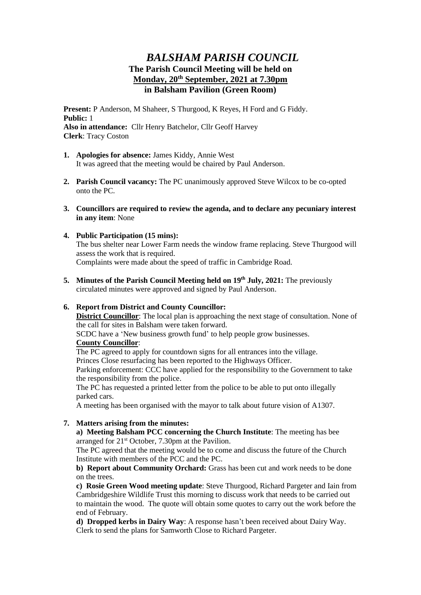# *BALSHAM PARISH COUNCIL* **The Parish Council Meeting will be held on Monday, 20th September, 2021 at 7.30pm in Balsham Pavilion (Green Room)**

**Present:** P Anderson, M Shaheer, S Thurgood, K Reyes, H Ford and G Fiddy. **Public:** 1 **Also in attendance:** Cllr Henry Batchelor, Cllr Geoff Harvey **Clerk**: Tracy Coston

- **1. Apologies for absence:** James Kiddy, Annie West It was agreed that the meeting would be chaired by Paul Anderson.
- **2. Parish Council vacancy:** The PC unanimously approved Steve Wilcox to be co-opted onto the PC.
- **3. Councillors are required to review the agenda, and to declare any pecuniary interest in any item**: None

# **4. Public Participation (15 mins):** The bus shelter near Lower Farm needs the window frame replacing. Steve Thurgood will assess the work that is required. Complaints were made about the speed of traffic in Cambridge Road.

**5. Minutes of the Parish Council Meeting held on 19th July, 2021:** The previously circulated minutes were approved and signed by Paul Anderson.

# **6. Report from District and County Councillor:**

**District Councillor**: The local plan is approaching the next stage of consultation. None of the call for sites in Balsham were taken forward.

SCDC have a 'New business growth fund' to help people grow businesses.

## **County Councillor**:

The PC agreed to apply for countdown signs for all entrances into the village.

Princes Close resurfacing has been reported to the Highways Officer.

Parking enforcement: CCC have applied for the responsibility to the Government to take the responsibility from the police.

The PC has requested a printed letter from the police to be able to put onto illegally parked cars.

A meeting has been organised with the mayor to talk about future vision of A1307.

# **7. Matters arising from the minutes:**

**a) Meeting Balsham PCC concerning the Church Institute**: The meeting has bee arranged for 21st October, 7.30pm at the Pavilion.

The PC agreed that the meeting would be to come and discuss the future of the Church Institute with members of the PCC and the PC.

**b) Report about Community Orchard:** Grass has been cut and work needs to be done on the trees.

**c) Rosie Green Wood meeting update**: Steve Thurgood, Richard Pargeter and Iain from Cambridgeshire Wildlife Trust this morning to discuss work that needs to be carried out to maintain the wood. The quote will obtain some quotes to carry out the work before the end of February.

**d) Dropped kerbs in Dairy Way**: A response hasn't been received about Dairy Way. Clerk to send the plans for Samworth Close to Richard Pargeter.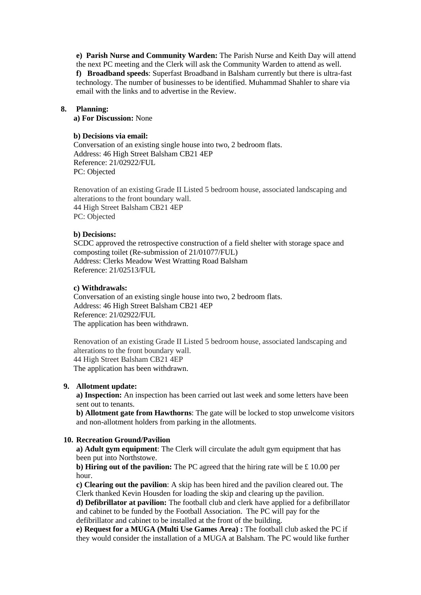**e) Parish Nurse and Community Warden:** The Parish Nurse and Keith Day will attend the next PC meeting and the Clerk will ask the Community Warden to attend as well. **f) Broadband speeds**: Superfast Broadband in Balsham currently but there is ultra-fast technology. The number of businesses to be identified. Muhammad Shahler to share via email with the links and to advertise in the Review.

#### **8. Planning:**

**a) For Discussion:** None

### **b) Decisions via email:**

Conversation of an existing single house into two, 2 bedroom flats. Address: 46 High Street Balsham CB21 4EP Reference: 21/02922/FUL PC: Objected

Renovation of an existing Grade II Listed 5 bedroom house, associated landscaping and alterations to the front boundary wall. 44 High Street Balsham CB21 4EP PC: Objected

#### **b) Decisions:**

SCDC approved the retrospective construction of a field shelter with storage space and composting toilet (Re-submission of 21/01077/FUL) Address: Clerks Meadow West Wratting Road Balsham Reference: 21/02513/FUL

#### **c) Withdrawals:**

Conversation of an existing single house into two, 2 bedroom flats. Address: 46 High Street Balsham CB21 4EP Reference: 21/02922/FUL The application has been withdrawn.

Renovation of an existing Grade II Listed 5 bedroom house, associated landscaping and alterations to the front boundary wall. 44 High Street Balsham CB21 4EP The application has been withdrawn.

#### **9. Allotment update:**

**a) Inspection:** An inspection has been carried out last week and some letters have been sent out to tenants.

**b) Allotment gate from Hawthorns**: The gate will be locked to stop unwelcome visitors and non-allotment holders from parking in the allotments.

#### **10. Recreation Ground/Pavilion**

**a) Adult gym equipment**: The Clerk will circulate the adult gym equipment that has been put into Northstowe.

**b) Hiring out of the pavilion:** The PC agreed that the hiring rate will be £ 10.00 per hour.

**c) Clearing out the pavilion**: A skip has been hired and the pavilion cleared out. The Clerk thanked Kevin Housden for loading the skip and clearing up the pavilion.

**d) Defibrillator at pavilion:** The football club and clerk have applied for a defibrillator and cabinet to be funded by the Football Association. The PC will pay for the defibrillator and cabinet to be installed at the front of the building.

**e) Request for a MUGA (Multi Use Games Area) :** The football club asked the PC if they would consider the installation of a MUGA at Balsham. The PC would like further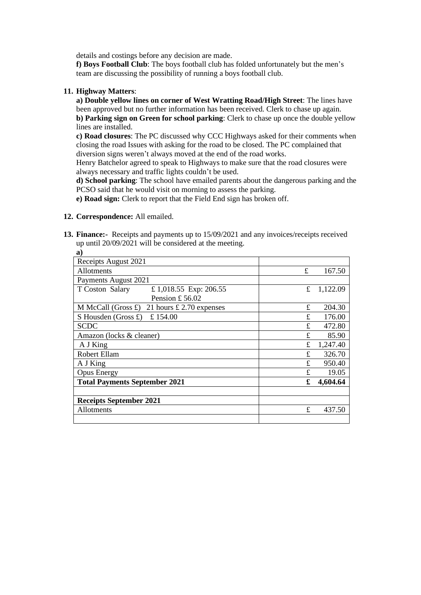details and costings before any decision are made.

**f) Boys Football Club**: The boys football club has folded unfortunately but the men's team are discussing the possibility of running a boys football club.

## **11. Highway Matters**:

**a) Double yellow lines on corner of West Wratting Road/High Street**: The lines have been approved but no further information has been received. Clerk to chase up again. **b) Parking sign on Green for school parking**: Clerk to chase up once the double yellow lines are installed.

**c) Road closures**: The PC discussed why CCC Highways asked for their comments when closing the road Issues with asking for the road to be closed. The PC complained that diversion signs weren't always moved at the end of the road works.

Henry Batchelor agreed to speak to Highways to make sure that the road closures were always necessary and traffic lights couldn't be used.

**d) School parking**: The school have emailed parents about the dangerous parking and the PCSO said that he would visit on morning to assess the parking.

**e) Road sign:** Clerk to report that the Field End sign has broken off.

### **12. Correspondence:** All emailed.

**13. Finance:-** Receipts and payments up to 15/09/2021 and any invoices/receipts received up until 20/09/2021 will be considered at the meeting.

| a)                                                      |    |          |
|---------------------------------------------------------|----|----------|
| Receipts August 2021                                    |    |          |
| Allotments                                              | £  | 167.50   |
| Payments August 2021                                    |    |          |
| £ 1,018.55 Exp: 206.55<br>T Coston Salary               | £  | 1,122.09 |
| Pension £56.02                                          |    |          |
| M McCall (Gross $\pounds$ )<br>21 hours £ 2.70 expenses | £  | 204.30   |
| £154.00<br>S Housden (Gross $\pounds$ )                 | £. | 176.00   |
| <b>SCDC</b>                                             | £  | 472.80   |
| Amazon (locks & cleaner)                                | £  | 85.90    |
| A J King                                                | £  | 1,247.40 |
| Robert Ellam                                            | £  | 326.70   |
| A J King                                                | £  | 950.40   |
| <b>Opus Energy</b>                                      | £  | 19.05    |
| <b>Total Payments September 2021</b>                    | £  | 4,604.64 |
|                                                         |    |          |
| <b>Receipts September 2021</b>                          |    |          |
| Allotments                                              | £  | 437.50   |
|                                                         |    |          |